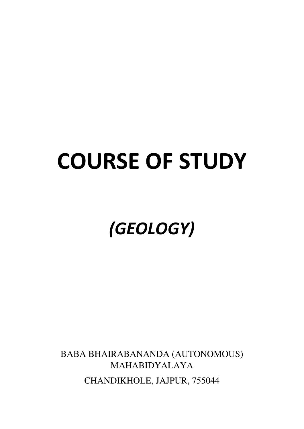# **COURSE OF STUDY**

# *(GEOLOGY)*

BABA BHAIRABANANDA (AUTONOMOUS) MAHABIDYALAYA CHANDIKHOLE, JAJPUR, 755044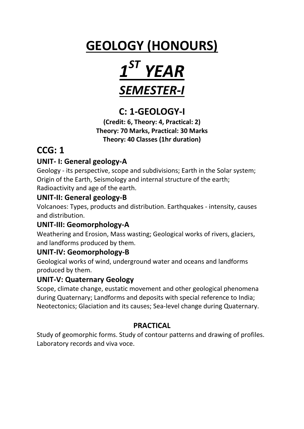## **GEOLOGY (HONOURS)**



## **C: 1-GEOLOGY-I**

**(Credit: 6, Theory: 4, Practical: 2) Theory: 70 Marks, Practical: 30 Marks Theory: 40 Classes (1hr duration)** 

## **CCG: 1**

#### **UNIT- I: General geology-A**

Geology - its perspective, scope and subdivisions; Earth in the Solar system; Origin of the Earth, Seismology and internal structure of the earth; Radioactivity and age of the earth.

#### **UNIT-II: General geology-B**

Volcanoes: Types, products and distribution. Earthquakes - intensity, causes and distribution.

#### **UNIT-III: Geomorphology-A**

Weathering and Erosion, Mass wasting; Geological works of rivers, glaciers, and landforms produced by them.

#### **UNIT-IV: Geomorphology-B**

Geological works of wind, underground water and oceans and landforms produced by them.

#### **UNIT-V: Quaternary Geology**

Scope, climate change, eustatic movement and other geological phenomena during Quaternary; Landforms and deposits with special reference to India; Neotectonics; Glaciation and its causes; Sea-level change during Quaternary.

#### **PRACTICAL**

Study of geomorphic forms. Study of contour patterns and drawing of profiles. Laboratory records and viva voce.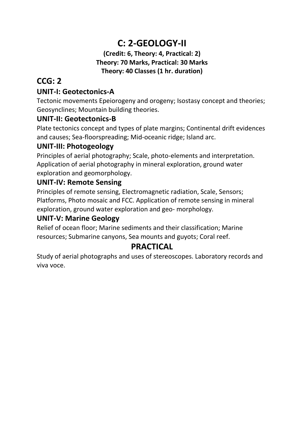## **C: 2-GEOLOGY-II**

#### **(Credit: 6, Theory: 4, Practical: 2) Theory: 70 Marks, Practical: 30 Marks Theory: 40 Classes (1 hr. duration)**

## **CCG: 2**

#### **UNIT-I: Geotectonics-A**

Tectonic movements Epeiorogeny and orogeny; Isostasy concept and theories; Geosynclines; Mountain building theories.

#### **UNIT-II: Geotectonics-B**

Plate tectonics concept and types of plate margins; Continental drift evidences and causes; Sea-floorspreading; Mid-oceanic ridge; Island arc.

#### **UNIT-III: Photogeology**

Principles of aerial photography; Scale, photo-elements and interpretation. Application of aerial photography in mineral exploration, ground water exploration and geomorphology.

#### **UNIT-IV: Remote Sensing**

Principles of remote sensing, Electromagnetic radiation, Scale, Sensors; Platforms, Photo mosaic and FCC. Application of remote sensing in mineral exploration, ground water exploration and geo- morphology.

#### **UNIT-V: Marine Geology**

Relief of ocean floor; Marine sediments and their classification; Marine resources; Submarine canyons, Sea mounts and guyots; Coral reef.

#### **PRACTICAL**

Study of aerial photographs and uses of stereoscopes. Laboratory records and viva voce.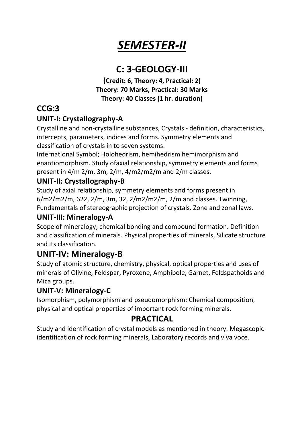## *SEMESTER-II*

## **C: 3-GEOLOGY-III**

**(Credit: 6, Theory: 4, Practical: 2) Theory: 70 Marks, Practical: 30 Marks Theory: 40 Classes (1 hr. duration)** 

## **CCG:3**

#### **UNIT-I: Crystallography-A**

Crystalline and non-crystalline substances, Crystals - definition, characteristics, intercepts, parameters, indices and forms. Symmetry elements and classification of crystals in to seven systems.

International Symbol; Holohedrism, hemihedrism hemimorphism and enantiomorphism. Study ofaxial relationship, symmetry elements and forms present in 4/m 2/m, 3m, 2/m, 4/m2/m2/m and 2/m classes.

#### **UNIT-II: Crystallography-B**

Study of axial relationship, symmetry elements and forms present in 6/m2/m2/m, 622, 2/m, 3m, 32, 2/m2/m2/m, 2/m and classes. Twinning, Fundamentals of stereographic projection of crystals. Zone and zonal laws.

#### **UNIT-III: Mineralogy-A**

Scope of mineralogy; chemical bonding and compound formation. Definition and classification of minerals. Physical properties of minerals, Silicate structure and its classification.

## **UNIT-IV: Mineralogy-B**

Study of atomic structure, chemistry, physical, optical properties and uses of minerals of Olivine, Feldspar, Pyroxene, Amphibole, Garnet, Feldspathoids and Mica groups.

#### **UNIT-V: Mineralogy-C**

Isomorphism, polymorphism and pseudomorphism; Chemical composition, physical and optical properties of important rock forming minerals.

#### **PRACTICAL**

Study and identification of crystal models as mentioned in theory. Megascopic identification of rock forming minerals, Laboratory records and viva voce.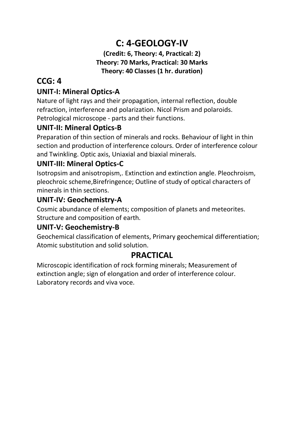## **C: 4-GEOLOGY-IV**

#### **(Credit: 6, Theory: 4, Practical: 2) Theory: 70 Marks, Practical: 30 Marks Theory: 40 Classes (1 hr. duration)**

### **CCG: 4**

#### **UNIT-I: Mineral Optics-A**

Nature of light rays and their propagation, internal reflection, double refraction, interference and polarization. Nicol Prism and polaroids. Petrological microscope - parts and their functions.

#### **UNIT-II: Mineral Optics-B**

Preparation of thin section of minerals and rocks. Behaviour of light in thin section and production of interference colours. Order of interference colour and Twinkling. Optic axis, Uniaxial and biaxial minerals.

#### **UNIT-III: Mineral Optics-C**

Isotropsim and anisotropism,. Extinction and extinction angle. Pleochroism, pleochroic scheme,Birefringence; Outline of study of optical characters of minerals in thin sections.

#### **UNIT-IV: Geochemistry-A**

Cosmic abundance of elements; composition of planets and meteorites. Structure and composition of earth.

#### **UNIT-V: Geochemistry-B**

Geochemical classification of elements, Primary geochemical differentiation; Atomic substitution and solid solution.

#### **PRACTICAL**

Microscopic identification of rock forming minerals; Measurement of extinction angle; sign of elongation and order of interference colour. Laboratory records and viva voce.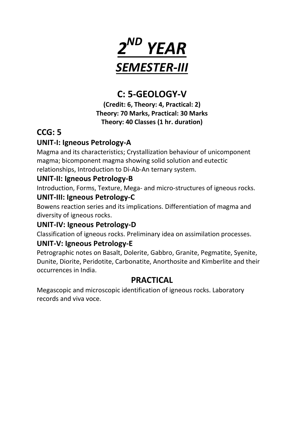

## **C: 5-GEOLOGY-V**

**(Credit: 6, Theory: 4, Practical: 2) Theory: 70 Marks, Practical: 30 Marks Theory: 40 Classes (1 hr. duration)** 

## **CCG: 5**

#### **UNIT-I: Igneous Petrology-A**

Magma and its characteristics; Crystallization behaviour of unicomponent magma; bicomponent magma showing solid solution and eutectic relationships, Introduction to Di-Ab-An ternary system.

#### **UNIT-II: Igneous Petrology-B**

Introduction, Forms, Texture, Mega- and micro-structures of igneous rocks.

#### **UNIT-III: Igneous Petrology-C**

Bowens reaction series and its implications. Differentiation of magma and diversity of igneous rocks.

#### **UNIT-IV: Igneous Petrology-D**

Classification of igneous rocks. Preliminary idea on assimilation processes.

#### **UNIT-V: Igneous Petrology-E**

Petrographic notes on Basalt, Dolerite, Gabbro, Granite, Pegmatite, Syenite, Dunite, Diorite, Peridotite, Carbonatite, Anorthosite and Kimberlite and their occurrences in India.

## **PRACTICAL**

Megascopic and microscopic identification of igneous rocks. Laboratory records and viva voce.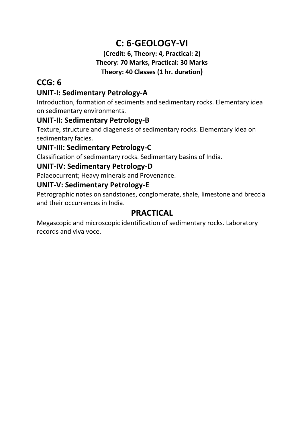## **C: 6-GEOLOGY-VI**

#### **(Credit: 6, Theory: 4, Practical: 2) Theory: 70 Marks, Practical: 30 Marks Theory: 40 Classes (1 hr. duration)**

## **CCG: 6**

#### **UNIT-I: Sedimentary Petrology-A**

Introduction, formation of sediments and sedimentary rocks. Elementary idea on sedimentary environments.

#### **UNIT-II: Sedimentary Petrology-B**

Texture, structure and diagenesis of sedimentary rocks. Elementary idea on sedimentary facies.

#### **UNIT-III: Sedimentary Petrology-C**

Classification of sedimentary rocks. Sedimentary basins of India.

#### **UNIT-IV: Sedimentary Petrology-D**

Palaeocurrent; Heavy minerals and Provenance.

#### **UNIT-V: Sedimentary Petrology-E**

Petrographic notes on sandstones, conglomerate, shale, limestone and breccia and their occurrences in India.

#### **PRACTICAL**

Megascopic and microscopic identification of sedimentary rocks. Laboratory records and viva voce.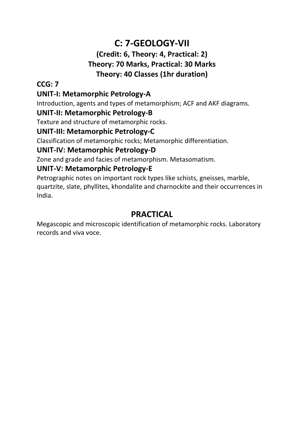## **C: 7-GEOLOGY-VII**

#### **(Credit: 6, Theory: 4, Practical: 2) Theory: 70 Marks, Practical: 30 Marks Theory: 40 Classes (1hr duration)**

#### **CCG: 7**

#### **UNIT-I: Metamorphic Petrology-A**

Introduction, agents and types of metamorphism; ACF and AKF diagrams.

#### **UNIT-II: Metamorphic Petrology-B**

Texture and structure of metamorphic rocks.

#### **UNIT-III: Metamorphic Petrology-C**

Classification of metamorphic rocks; Metamorphic differentiation.

#### **UNIT-IV: Metamorphic Petrology-D**

Zone and grade and facies of metamorphism. Metasomatism.

#### **UNIT-V: Metamorphic Petrology-E**

Petrographic notes on important rock types like schists, gneisses, marble, quartzite, slate, phyllites, khondalite and charnockite and their occurrences in India.

#### **PRACTICAL**

Megascopic and microscopic identification of metamorphic rocks. Laboratory records and viva voce.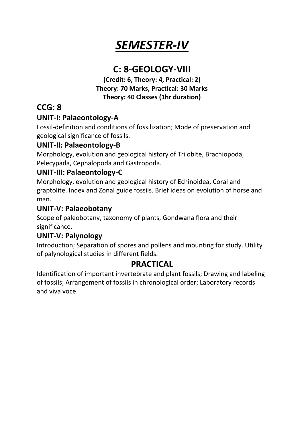## *SEMESTER-IV*

## **C: 8-GEOLOGY-VIII**

**(Credit: 6, Theory: 4, Practical: 2) Theory: 70 Marks, Practical: 30 Marks Theory: 40 Classes (1hr duration)** 

## **CCG: 8**

#### **UNIT-I: Palaeontology-A**

Fossil-definition and conditions of fossilization; Mode of preservation and geological significance of fossils.

#### **UNIT-II: Palaeontology-B**

Morphology, evolution and geological history of Trilobite, Brachiopoda, Pelecypada, Cephalopoda and Gastropoda.

#### **UNIT-III: Palaeontology-C**

Morphology, evolution and geological history of Echinoidea, Coral and graptolite. Index and Zonal guide fossils. Brief ideas on evolution of horse and man.

#### **UNIT-V: Palaeobotany**

Scope of paleobotany, taxonomy of plants, Gondwana flora and their significance.

#### **UNIT-V: Palynology**

Introduction; Separation of spores and pollens and mounting for study. Utility of palynological studies in different fields.

#### **PRACTICAL**

Identification of important invertebrate and plant fossils; Drawing and labeling of fossils; Arrangement of fossils in chronological order; Laboratory records and viva voce.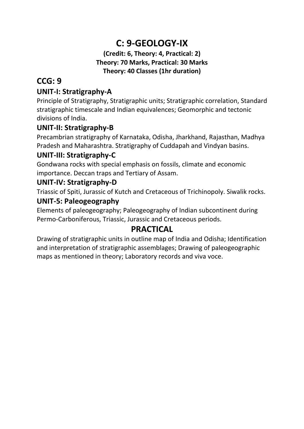## **C: 9-GEOLOGY-IX**

#### **(Credit: 6, Theory: 4, Practical: 2) Theory: 70 Marks, Practical: 30 Marks Theory: 40 Classes (1hr duration)**

## **CCG: 9**

#### **UNIT-I: Stratigraphy-A**

Principle of Stratigraphy, Stratigraphic units; Stratigraphic correlation, Standard stratigraphic timescale and Indian equivalences; Geomorphic and tectonic divisions of India.

#### **UNIT-II: Stratigraphy-B**

Precambrian stratigraphy of Karnataka, Odisha, Jharkhand, Rajasthan, Madhya Pradesh and Maharashtra. Stratigraphy of Cuddapah and Vindyan basins.

#### **UNIT-III: Stratigraphy-C**

Gondwana rocks with special emphasis on fossils, climate and economic importance. Deccan traps and Tertiary of Assam.

#### **UNIT-IV: Stratigraphy-D**

Triassic of Spiti, Jurassic of Kutch and Cretaceous of Trichinopoly. Siwalik rocks.

#### **UNIT-5: Paleogeography**

Elements of paleogeography; Paleogeography of Indian subcontinent during Permo-Carboniferous, Triassic, Jurassic and Cretaceous periods.

## **PRACTICAL**

Drawing of stratigraphic units in outline map of India and Odisha; Identification and interpretation of stratigraphic assemblages; Drawing of paleogeographic maps as mentioned in theory; Laboratory records and viva voce.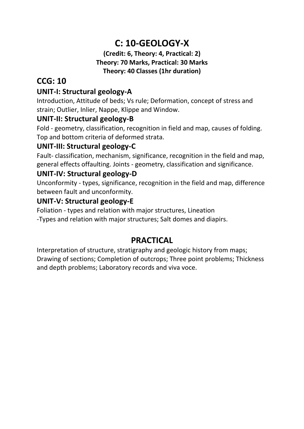## **C: 10-GEOLOGY-X**

#### **(Credit: 6, Theory: 4, Practical: 2) Theory: 70 Marks, Practical: 30 Marks Theory: 40 Classes (1hr duration)**

## **CCG: 10**

#### **UNIT-I: Structural geology-A**

Introduction, Attitude of beds; Vs rule; Deformation, concept of stress and strain; Outlier, Inlier, Nappe, Klippe and Window.

#### **UNIT-II: Structural geology-B**

Fold - geometry, classification, recognition in field and map, causes of folding. Top and bottom criteria of deformed strata.

#### **UNIT-III: Structural geology-C**

Fault- classification, mechanism, significance, recognition in the field and map, general effects offaulting. Joints - geometry, classification and significance.

#### **UNIT-IV: Structural geology-D**

Unconformity - types, significance, recognition in the field and map, difference between fault and unconformity.

#### **UNIT-V: Structural geology-E**

Foliation - types and relation with major structures, Lineation -Types and relation with major structures; Salt domes and diapirs.

## **PRACTICAL**

Interpretation of structure, stratigraphy and geologic history from maps; Drawing of sections; Completion of outcrops; Three point problems; Thickness and depth problems; Laboratory records and viva voce.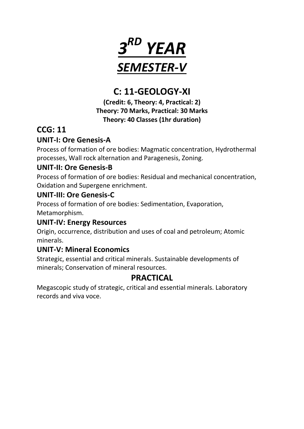

## **C: 11-GEOLOGY-XI**

**(Credit: 6, Theory: 4, Practical: 2) Theory: 70 Marks, Practical: 30 Marks Theory: 40 Classes (1hr duration)**

### **CCG: 11**

#### **UNIT-I: Ore Genesis-A**

Process of formation of ore bodies: Magmatic concentration, Hydrothermal processes, Wall rock alternation and Paragenesis, Zoning.

#### **UNIT-II: Ore Genesis-B**

Process of formation of ore bodies: Residual and mechanical concentration, Oxidation and Supergene enrichment.

#### **UNIT-III: Ore Genesis-C**

Process of formation of ore bodies: Sedimentation, Evaporation, Metamorphism.

#### **UNIT-IV: Energy Resources**

Origin, occurrence, distribution and uses of coal and petroleum; Atomic minerals.

#### **UNIT-V: Mineral Economics**

Strategic, essential and critical minerals. Sustainable developments of minerals; Conservation of mineral resources.

#### **PRACTICAL**

Megascopic study of strategic, critical and essential minerals. Laboratory records and viva voce.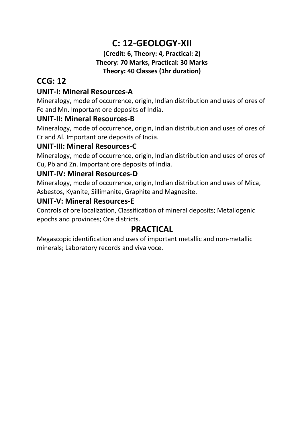## **C: 12-GEOLOGY-XII**

#### **(Credit: 6, Theory: 4, Practical: 2) Theory: 70 Marks, Practical: 30 Marks Theory: 40 Classes (1hr duration)**

## **CCG: 12**

#### **UNIT-I: Mineral Resources-A**

Mineralogy, mode of occurrence, origin, Indian distribution and uses of ores of Fe and Mn. Important ore deposits of India.

#### **UNIT-II: Mineral Resources-B**

Mineralogy, mode of occurrence, origin, Indian distribution and uses of ores of Cr and Al. Important ore deposits of India.

#### **UNIT-III: Mineral Resources-C**

Mineralogy, mode of occurrence, origin, Indian distribution and uses of ores of Cu, Pb and Zn. Important ore deposits of India.

#### **UNIT-IV: Mineral Resources-D**

Mineralogy, mode of occurrence, origin, Indian distribution and uses of Mica, Asbestos, Kyanite, Sillimanite, Graphite and Magnesite.

#### **UNIT-V: Mineral Resources-E**

Controls of ore localization, Classification of mineral deposits; Metallogenic epochs and provinces; Ore districts.

#### **PRACTICAL**

Megascopic identification and uses of important metallic and non-metallic minerals; Laboratory records and viva voce.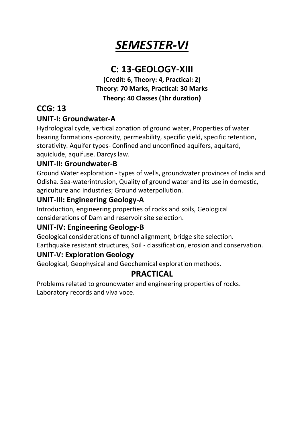## *SEMESTER-VI*

## **C: 13-GEOLOGY-XIII**

**(Credit: 6, Theory: 4, Practical: 2) Theory: 70 Marks, Practical: 30 Marks Theory: 40 Classes (1hr duration)** 

## **CCG: 13**

#### **UNIT-I: Groundwater-A**

Hydrological cycle, vertical zonation of ground water, Properties of water bearing formations -porosity, permeability, specific yield, specific retention, storativity. Aquifer types- Confined and unconfined aquifers, aquitard, aquiclude, aquifuse. Darcys law.

#### **UNIT-II: Groundwater-B**

Ground Water exploration - types of wells, groundwater provinces of India and Odisha. Sea-waterintrusion, Quality of ground water and its use in domestic, agriculture and industries; Ground waterpollution.

#### **UNIT-III: Engineering Geology-A**

Introduction, engineering properties of rocks and soils, Geological considerations of Dam and reservoir site selection.

#### **UNIT-IV: Engineering Geology-B**

Geological considerations of tunnel alignment, bridge site selection. Earthquake resistant structures, Soil - classification, erosion and conservation.

#### **UNIT-V: Exploration Geology**

Geological, Geophysical and Geochemical exploration methods.

#### **PRACTICAL**

Problems related to groundwater and engineering properties of rocks. Laboratory records and viva voce.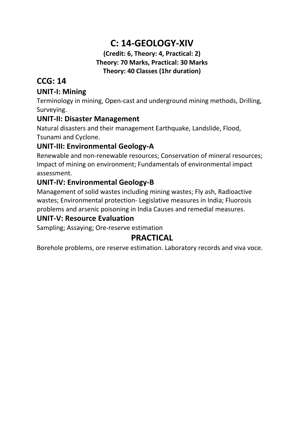## **C: 14-GEOLOGY-XIV**

#### **(Credit: 6, Theory: 4, Practical: 2) Theory: 70 Marks, Practical: 30 Marks Theory: 40 Classes (1hr duration)**

#### **CCG: 14**

#### **UNIT-I: Mining**

Terminology in mining, Open-cast and underground mining methods, Drilling, Surveying.

#### **UNIT-II: Disaster Management**

Natural disasters and their management Earthquake, Landslide, Flood, Tsunami and Cyclone.

#### **UNIT-III: Environmental Geology-A**

Renewable and non-renewable resources; Conservation of mineral resources; Impact of mining on environment; Fundamentals of environmental impact assessment.

#### **UNIT-IV: Environmental Geology-B**

Management of solid wastes including mining wastes; Fly ash, Radioactive wastes; Environmental protection- Legislative measures in India; Fluorosis problems and arsenic poisoning in India Causes and remedial measures.

#### **UNIT-V: Resource Evaluation**

Sampling; Assaying; Ore-reserve estimation

#### **PRACTICAL**

Borehole problems, ore reserve estimation. Laboratory records and viva voce.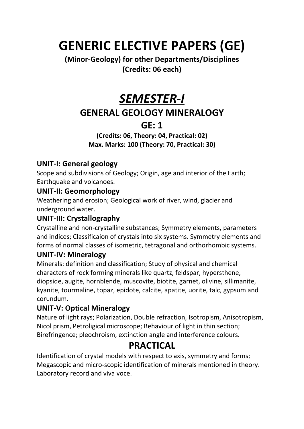## **GENERIC ELECTIVE PAPERS (GE)**

#### **(Minor-Geology) for other Departments/Disciplines (Credits: 06 each)**

## *SEMESTER-I*

## **GENERAL GEOLOGY MINERALOGY**

## **GE: 1**

**(Credits: 06, Theory: 04, Practical: 02) Max. Marks: 100 (Theory: 70, Practical: 30)** 

#### **UNIT-I: General geology**

Scope and subdivisions of Geology; Origin, age and interior of the Earth; Earthquake and volcanoes.

#### **UNIT-II: Geomorphology**

Weathering and erosion; Geological work of river, wind, glacier and underground water.

#### **UNIT-III: Crystallography**

Crystalline and non-crystalline substances; Symmetry elements, parameters and indices; Classificaion of crystals into six systems. Symmetry elements and forms of normal classes of isometric, tetragonal and orthorhombic systems.

#### **UNIT-IV: Mineralogy**

Minerals: definition and classification; Study of physical and chemical characters of rock forming minerals like quartz, feldspar, hypersthene, diopside, augite, hornblende, muscovite, biotite, garnet, olivine, sillimanite, kyanite, tourmaline, topaz, epidote, calcite, apatite, uorite, talc, gypsum and corundum.

#### **UNIT-V: Optical Mineralogy**

Nature of light rays; Polarization, Double refraction, Isotropism, Anisotropism, Nicol prism, Petroligical microscope; Behaviour of light in thin section; Birefringence; pleochroism, extinction angle and interference colours.

## **PRACTICAL**

Identification of crystal models with respect to axis, symmetry and forms; Megascopic and micro-scopic identification of minerals mentioned in theory. Laboratory record and viva voce.